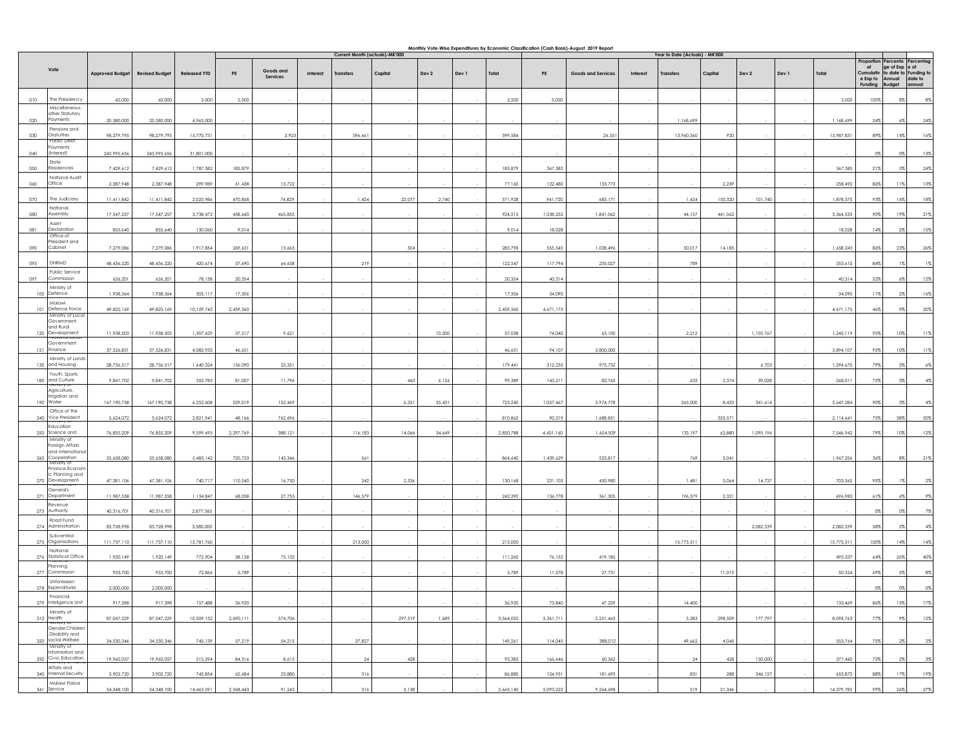|            |                                                           |                        | Monthly Vote-Wise Expenditures by Economic Classification (Cash Basis)-August 2019 Report<br>Current Month (actuals)-MK'000 |                     |           |                       |          |           |         |        | Year to Date (Actuals) - MK'000 |           |           |                    |          |            |         |           |       |            |                                        |                                                   |                                 |
|------------|-----------------------------------------------------------|------------------------|-----------------------------------------------------------------------------------------------------------------------------|---------------------|-----------|-----------------------|----------|-----------|---------|--------|---------------------------------|-----------|-----------|--------------------|----------|------------|---------|-----------|-------|------------|----------------------------------------|---------------------------------------------------|---------------------------------|
|            |                                                           |                        |                                                                                                                             |                     |           |                       |          |           |         |        |                                 |           |           |                    |          |            |         |           |       |            | Proportion                             |                                                   | Percenta Percentag              |
|            | Vote                                                      | <b>Approved Budget</b> | <b>Revised Budget</b>                                                                                                       | <b>Released YTD</b> | PE        | Goods and<br>Services | Interest | Transfers | Capital | Dev 2  | Dev 1                           | Total     | PE        | Goods and Services | Interest | Transfer:  | Capital | Dev 2     | Dev 1 | Total      | of<br>Cumulativ<br>e Exp to<br>Funding | ge of Exp e of<br>Annual date to<br><b>Budget</b> | to date to Funding to<br>annual |
| 010        | The Presidency                                            | 60,000                 | 60,000                                                                                                                      | 5,000               | 2,500     |                       |          |           |         |        |                                 | 2,500     | 5,000     |                    |          |            |         |           |       | 5,000      | 100%                                   | 8%                                                | 8%                              |
| 020        | Miscellaneous<br>other Statutory<br>Payments              | 20,580,000             | 20,580,000                                                                                                                  | 4,965,000           |           |                       |          |           |         |        |                                 |           |           |                    |          | 1,168,699  |         |           |       | 1,168,699  | 24%                                    | 6%                                                | 24%                             |
| 030        | Pensions and<br>Gratuities                                | 98,279,795             | 98,279,795                                                                                                                  | 15,770,731          |           | 2,923                 |          | 596,661   |         |        |                                 | 599,584   |           | 26,551             |          | 13,960,360 | 920     |           |       | 13,987,831 | 89%                                    | 14%                                               | 16%                             |
| 040        | <b>Public Deb</b><br>ayments<br>nterest)                  | 243,995,656            | 243,995,656                                                                                                                 | 31,801,000          |           |                       |          |           |         |        |                                 |           |           |                    |          |            |         |           |       |            | 0%                                     | 0%                                                | 13%                             |
| 050        | State<br>Residences                                       | 7,429,612              | 7,429,612                                                                                                                   | 1,787,582           | 185,879   |                       |          |           |         |        |                                 | 185,879   | 367,385   |                    |          |            |         |           |       | 367,385    | 21%                                    | 5%                                                | 24%                             |
| 060        | National Audit<br>Office                                  | 2,387,948              | 2,387,948                                                                                                                   | 299,989             | 61,438    | 15,722                |          |           |         |        |                                 | 77,160    | 122,480   | 133,773            |          |            | 2,239   |           |       | 258,492    | 86%                                    | 11%                                               | 13%                             |
| 070        | The Judiciary<br>National                                 | 11,411,842             | 11,411,842                                                                                                                  | 2,025,986           | 470,858   | 74,829                |          | 1,424     | 22,077  | 2,740  |                                 | 571,928   | 941,720   | 683,171            |          | 1,424      | 150,320 | 101,740   |       | 1,878,375  | 93%                                    | 16%                                               | 18%                             |
| <b>OBO</b> | Assembly<br>Asset                                         | 17,547,257             | 17,547,257                                                                                                                  | 3,738,472           | 458,660   | 465,855               |          |           |         |        |                                 | 924,515   | 1,038,252 | 1,841,062          |          | 44,157     | 441,062 |           |       | 3,364,533  | 90%                                    | 19%                                               | 21%                             |
| 081        | Declaration<br>Office of                                  | 855,640                | 855,640                                                                                                                     | 130,060             | 9,014     |                       |          |           |         |        |                                 | 9,014     | 18,028    |                    |          |            |         |           |       | 18,028     | 14%                                    | $2\%$                                             | 15%                             |
| 090        | President and<br>Cabinet                                  | 7,279,086              | 7,279,086                                                                                                                   | 1,917,854           | 269,631   | 13,663                |          |           | 504     |        |                                 | 283,798   | 555,545   | 1,038,496          |          | 50,017     | 14,185  |           |       | 1,658,243  | 86%                                    | 23%                                               | 26%                             |
| 093        | DHRMD                                                     | 48,436,220             | 48,436,220                                                                                                                  | 420,674             | 57,690    | 64,638                |          | 219       |         |        |                                 | 122,547   | 117,794   | 235,027            |          | 789        |         |           |       | 353,610    | 84%                                    | 1%                                                | 1%                              |
| 097        | Public Service<br>Commission<br>Ministry of               | 626,201                | 626,201                                                                                                                     | 78,158              | 20.354    |                       |          |           |         |        |                                 | 20,354    | 40,314    |                    |          |            |         |           |       | 40,314     | 52%                                    | 6%                                                | 12%                             |
|            | 100 Defence                                               | 1,938,364              | 1,938,364                                                                                                                   | 305,117             | 17,306    |                       |          |           |         |        |                                 | 17,306    | 34,090    |                    |          |            |         |           |       | 34,090     | 11%                                    | $2\%$                                             | 16%                             |
|            | Malawi<br>101 Defence Force<br>Ministry of Loca           | 49,825,169             | 49,825,169                                                                                                                  | 10,129,742          | 2,459,360 |                       |          |           |         |        |                                 | 2,459,360 | 4,671,175 |                    |          |            |         |           |       | 4,671,175  | 46%                                    | 9%                                                | 20%                             |
|            | Government<br>and Rural<br>120 Development                | 11,938,503             | 11,938,503                                                                                                                  | 1,307,629           | 37,217    | 9,621                 |          |           |         | 10,200 |                                 | 57,038    | 74,040    | 63,100             |          | 2,212      |         | 1,105,767 |       | 1,245,119  | 95%                                    | 10%                                               | 11%                             |
|            | Government<br>121 Finance                                 | 37,526,831             | 37,526,831                                                                                                                  | 4,082,933           | 46,651    |                       |          |           |         |        |                                 | 46,651    | 94,107    | 3,800,000          |          |            |         |           |       | 3,894,107  | 95%                                    | 10%                                               | 11%                             |
|            | Ministry of Lands<br>130 and Housing                      | 28,736,517             | 28,736,517                                                                                                                  | 1,640,324           | 156,090   | 23,351                |          |           |         |        |                                 | 179,441   | 312,235   | 975,732            |          |            |         | 6,703     |       | 1,294,670  | 79%                                    | 5%                                                | $6\%$                           |
|            | Youth, Sports<br>180 and Culture                          | 9,841,702              | 9,841,702                                                                                                                   | 355,783             | 81,007    | 11,796                |          |           | 460     | 6,126  |                                 | 99,389    | 143,211   | 82,765             |          | 633        | 2,374   | 39,028    |       | 268,011    | 75%                                    | $3\%$                                             | 4%                              |
|            | uriisity of<br>Agriculture,<br>Irrigation and             |                        |                                                                                                                             |                     |           |                       |          |           |         |        |                                 |           |           |                    |          |            |         |           |       |            |                                        |                                                   |                                 |
|            | 190 Water<br>Office of the                                | 167, 190, 738          | 167, 190, 738                                                                                                               | 6,252,608           | 529,019   | 152,469               |          |           | 6,321   | 35,431 |                                 | 723,240   | 1,057,467 | 3,974,778          |          | 265,000    | 8,425   | 341,614   |       | 5,647,284  | 90%                                    | $3\%$                                             | 4%                              |
|            | 240 Vice President<br>Education                           | 5,624,072              | 5,624,072                                                                                                                   | 2,821,941           | 48,166    | 762,696               |          |           |         |        |                                 | 810,862   | 90,219    | 1,688,851          |          |            | 335,571 |           |       | 2,114,641  | 75%                                    | 38%                                               | 50%                             |
|            | 250 Science and<br>Ministry of<br>Foreign Affairs         | 76,855,209             | 76,855,209                                                                                                                  | 9,599,695           | 2,297,769 | 388,121               |          | 116,183   | 14,066  | 34,649 |                                 | 2,850,788 | 4,601,160 | 1,654,509          |          | 133,197    | 62,880  | 1,095,196 |       | 7,546,942  | 79%                                    | 10%                                               | 12%                             |
| 260        | and internationa<br>Cooperation<br>Ministry of            | 25,658,080             | 25,658,080                                                                                                                  | 5,483,142           | 720,733   | 143,346               |          | 561       |         |        |                                 | 864,640   | 1,439,629 | 523,817            |          | 769        | 3,041   |           |       | 1,967,256  | 36%                                    | $8\%$                                             | 21%                             |
|            | Finance, Econor<br>ic Planning and<br>270 Development     | 47,381,106             | 47,381,106                                                                                                                  | 740,717             | 110,540   | 16,750                |          | 342       | 2,536   |        |                                 | 130,168   | 231,103   | 450,980            |          | 1,481      | 5,064   | 14,737    |       | 703,365    | 95%                                    | $1\%$                                             | $2\%$                           |
| 271        | <b>General's</b><br>Department                            | 11,987,558             | 11,987,558                                                                                                                  | 1,134,847           | 68,058    | 27,753                |          | 146,579   |         |        |                                 | 242,390   | 136,778   | 361,305            |          | 196,579    | 2,321   |           |       | 696,983    | $61\%$                                 | 6%                                                | $9\%$                           |
|            | Revenue<br>273 Authority                                  | 40,316,701             | 40,316,701                                                                                                                  | 2,877,365           |           |                       |          |           |         |        |                                 |           |           |                    |          |            |         |           |       |            | $0\%$                                  | 0%                                                | 7%                              |
|            | Road Fund<br>274 Administration                           | 83,728,998             | 83,728,998                                                                                                                  | 3,580,000           |           |                       |          |           |         |        |                                 |           |           |                    |          |            |         | 2,082,539 |       | 2,082,539  | 58%                                    | 2%                                                | 4%                              |
|            | Subvented<br>275 Organisations                            | 111,737,110            | 111,737,110                                                                                                                 | 15,781,760          |           |                       |          | 213,000   |         |        |                                 | 213,000   |           |                    |          | 15,773,511 |         |           |       | 15,773,511 | 100%                                   | 14%                                               | 14%                             |
|            | National<br>276 Statistical Office                        | 1,920,149              | 1,920,149                                                                                                                   | 772,904             | 38,128    | 73,132                |          |           |         |        |                                 | 111,260   | 76,152    | 419,185            |          |            |         |           |       | 495,337    | 64%                                    | 26%                                               | 40%                             |
|            | Planning<br>277 Commission<br>Unforeseen                  | 933,700                | 933,700                                                                                                                     | 72,866              | 5,789     |                       |          |           |         |        |                                 | 5,789     | 11,578    | 27,731             |          |            | 11,015  |           |       | 50,324     | 69%                                    | .5%                                               | 8%                              |
|            | 278 Expenditures                                          | 2,000,000              | 2,000,000                                                                                                                   |                     |           |                       |          |           |         |        |                                 |           |           |                    |          |            |         |           |       |            | 0%                                     |                                                   |                                 |
|            | 279 Inteligence Unit                                      | 917,398                | 917,398                                                                                                                     | 157,488             | 36,920    |                       |          |           |         |        |                                 | 36,920    | 73,840    | 47,229             |          | 14,400     |         |           |       | 135,469    | 86%                                    | 15%                                               | 17%                             |
|            | Ministry of<br>310 Health<br>Aimstry                      | 87,047,229             | 87,047,229                                                                                                                  | 10,509,132          | 2,690,111 | 574,706               |          |           | 297,519 | 1,689  |                                 | 3,564,025 | 5,361,711 | 2,251,463          |          | 5,283      | 298,509 | 177,797   |       | 8,094,763  | 77%                                    | 9%                                                | 12%                             |
|            | Gender, Children<br>,Disability and<br>320 social Welfare | 34,530,346             | 34,530,346                                                                                                                  | 745,139             | 57,219    | 54,215                |          | 37,827    |         |        |                                 | 149,261   | 114,045   | 388,012            |          | 49,662     | 4,045   |           |       | 555,764    | 75%                                    | $2\%$                                             | $2\%$                           |
|            | Ministry of<br>Information and<br>330 Civic Education     | 19,960,057             | 19,960,057                                                                                                                  | 515,294             | 84,316    | 8,615                 |          | 24        | 428     |        |                                 | 93,383    | 166,646   | 60,362             |          | 24         | 428     | 150,000   |       | 377,460    | 73%                                    | 2%                                                | $3\%$                           |
|            | Affairs and<br>340 Internal Security                      | 3,902,720              | 3,902,720                                                                                                                   | 745,854             | 62,684    | 23,880                |          | 316       |         |        |                                 | 86,880    | 124,931   | 181,695            |          | 831        | 288     | 346,127   |       | 653,872    | 88%                                    | 17%                                               | 19%                             |
|            | Malawi Police<br>341 Service                              | 54,348,100             | 54,348,100                                                                                                                  | 14,463,591          | 2,568,443 | 91,243                |          | 316       | 5,138   |        |                                 | 2,665,140 | 5,093,222 | 9,264,698          |          | 519        | 21,346  |           |       | 14,379,785 | 99%                                    | 26%                                               | 27%                             |